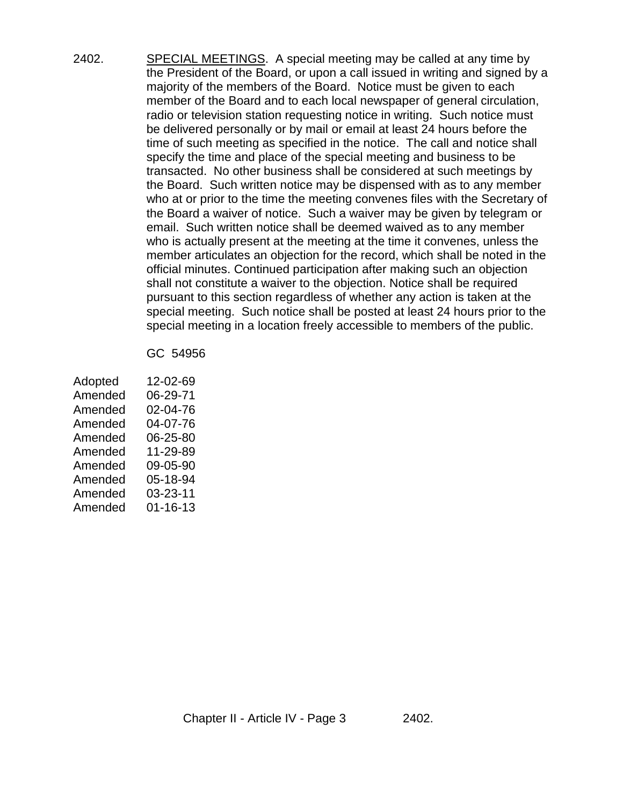2402. SPECIAL MEETINGS. A special meeting may be called at any time by the President of the Board, or upon a call issued in writing and signed by a majority of the members of the Board. Notice must be given to each member of the Board and to each local newspaper of general circulation, radio or television station requesting notice in writing. Such notice must be delivered personally or by mail or email at least 24 hours before the time of such meeting as specified in the notice. The call and notice shall specify the time and place of the special meeting and business to be transacted. No other business shall be considered at such meetings by the Board. Such written notice may be dispensed with as to any member who at or prior to the time the meeting convenes files with the Secretary of the Board a waiver of notice. Such a waiver may be given by telegram or email. Such written notice shall be deemed waived as to any member who is actually present at the meeting at the time it convenes, unless the member articulates an objection for the record, which shall be noted in the official minutes. Continued participation after making such an objection shall not constitute a waiver to the objection. Notice shall be required pursuant to this section regardless of whether any action is taken at the special meeting. Such notice shall be posted at least 24 hours prior to the special meeting in a location freely accessible to members of the public.

## GC 54956

| Adopted | 12-02-69 |
|---------|----------|
| Amended | 06-29-71 |
| Amended | 02-04-76 |
| Amended | 04-07-76 |
| Amended | 06-25-80 |
| Amended | 11-29-89 |
| Amended | 09-05-90 |
| Amended | 05-18-94 |
| Amended | 03-23-11 |
| Amended | 01-16-13 |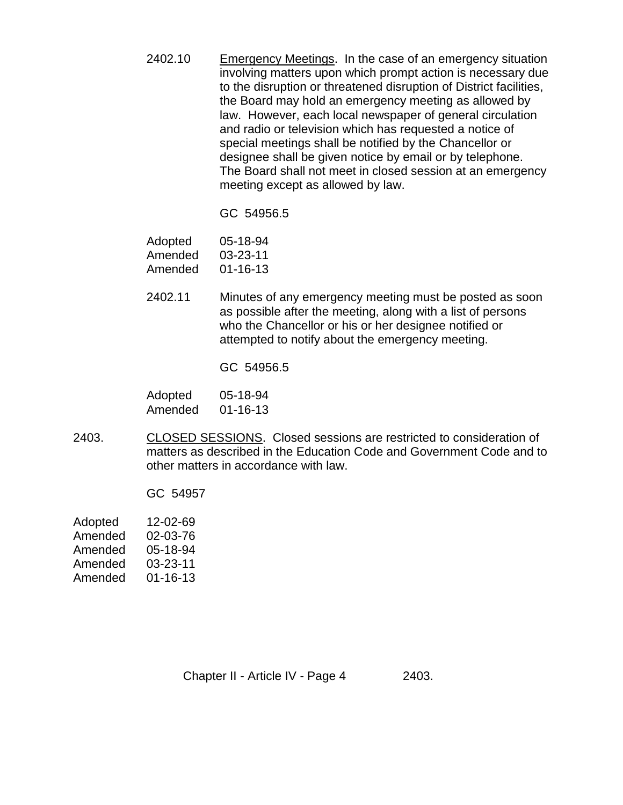2402.10 Emergency Meetings. In the case of an emergency situation involving matters upon which prompt action is necessary due to the disruption or threatened disruption of District facilities, the Board may hold an emergency meeting as allowed by law. However, each local newspaper of general circulation and radio or television which has requested a notice of special meetings shall be notified by the Chancellor or designee shall be given notice by email or by telephone. The Board shall not meet in closed session at an emergency meeting except as allowed by law.

GC 54956.5

| Adopted | 05-18-94       |
|---------|----------------|
| Amended | 03-23-11       |
| Amended | $01 - 16 - 13$ |

2402.11 Minutes of any emergency meeting must be posted as soon as possible after the meeting, along with a list of persons who the Chancellor or his or her designee notified or attempted to notify about the emergency meeting.

GC 54956.5

| Adopted | 05-18-94       |
|---------|----------------|
| Amended | $01 - 16 - 13$ |

2403. CLOSED SESSIONS. Closed sessions are restricted to consideration of matters as described in the Education Code and Government Code and to other matters in accordance with law.

GC 54957

Adopted 12-02-69 Amended 02-03-76 Amended 05-18-94 Amended 03-23-11 Amended 01-16-13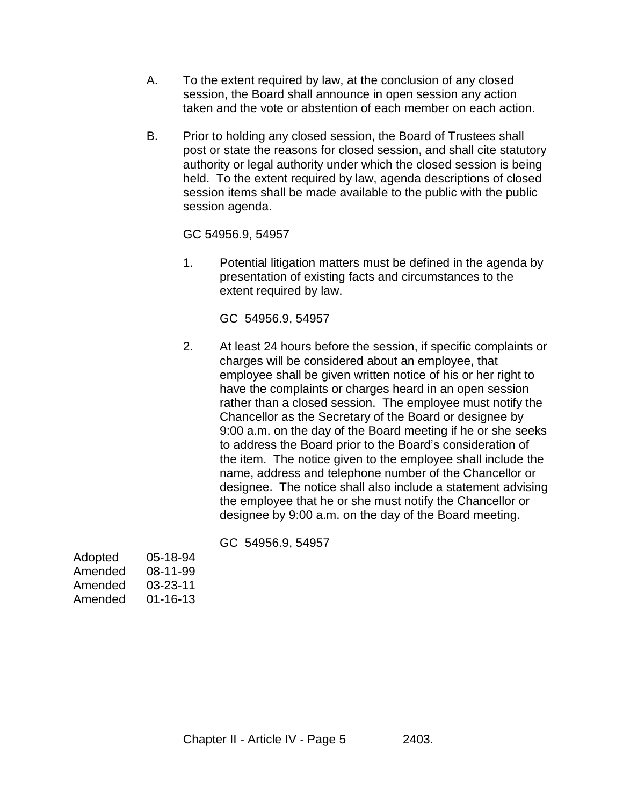- A. To the extent required by law, at the conclusion of any closed session, the Board shall announce in open session any action taken and the vote or abstention of each member on each action.
- B. Prior to holding any closed session, the Board of Trustees shall post or state the reasons for closed session, and shall cite statutory authority or legal authority under which the closed session is being held. To the extent required by law, agenda descriptions of closed session items shall be made available to the public with the public session agenda.

GC 54956.9, 54957

1. Potential litigation matters must be defined in the agenda by presentation of existing facts and circumstances to the extent required by law.

GC 54956.9, 54957

2. At least 24 hours before the session, if specific complaints or charges will be considered about an employee, that employee shall be given written notice of his or her right to have the complaints or charges heard in an open session rather than a closed session. The employee must notify the Chancellor as the Secretary of the Board or designee by 9:00 a.m. on the day of the Board meeting if he or she seeks to address the Board prior to the Board's consideration of the item. The notice given to the employee shall include the name, address and telephone number of the Chancellor or designee. The notice shall also include a statement advising the employee that he or she must notify the Chancellor or designee by 9:00 a.m. on the day of the Board meeting.

GC 54956.9, 54957

| Adopted | 05-18-94       |
|---------|----------------|
| Amended | 08-11-99       |
| Amended | $03 - 23 - 11$ |
| Amended | $01 - 16 - 13$ |